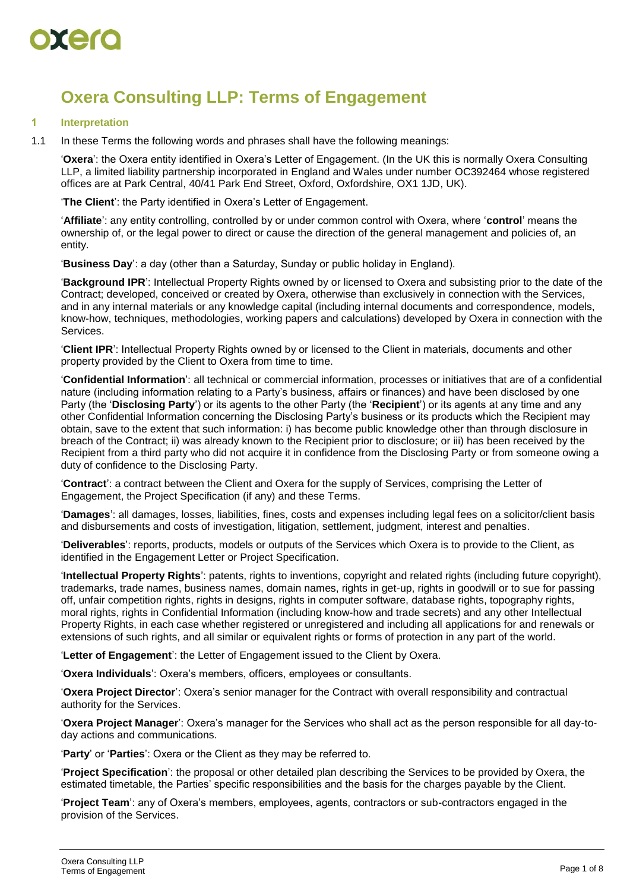

# **Oxera Consulting LLP: Terms of Engagement**

#### **1 Interpretation**

1.1 In these Terms the following words and phrases shall have the following meanings:

'**Oxera**': the Oxera entity identified in Oxera's Letter of Engagement. (In the UK this is normally Oxera Consulting LLP, a limited liability partnership incorporated in England and Wales under number OC392464 whose registered offices are at Park Central, 40/41 Park End Street, Oxford, Oxfordshire, OX1 1JD, UK).

'**The Client**': the Party identified in Oxera's Letter of Engagement.

'**Affiliate**': any entity controlling, controlled by or under common control with Oxera, where '**control**' means the ownership of, or the legal power to direct or cause the direction of the general management and policies of, an entity.

'**Business Day**': a day (other than a Saturday, Sunday or public holiday in England).

'**Background IPR**': Intellectual Property Rights owned by or licensed to Oxera and subsisting prior to the date of the Contract; developed, conceived or created by Oxera, otherwise than exclusively in connection with the Services, and in any internal materials or any knowledge capital (including internal documents and correspondence, models, know-how, techniques, methodologies, working papers and calculations) developed by Oxera in connection with the Services.

'**Client IPR**': Intellectual Property Rights owned by or licensed to the Client in materials, documents and other property provided by the Client to Oxera from time to time.

'**Confidential Information**': all technical or commercial information, processes or initiatives that are of a confidential nature (including information relating to a Party's business, affairs or finances) and have been disclosed by one Party (the '**Disclosing Party**') or its agents to the other Party (the '**Recipient**') or its agents at any time and any other Confidential Information concerning the Disclosing Party's business or its products which the Recipient may obtain, save to the extent that such information: i) has become public knowledge other than through disclosure in breach of the Contract; ii) was already known to the Recipient prior to disclosure; or iii) has been received by the Recipient from a third party who did not acquire it in confidence from the Disclosing Party or from someone owing a duty of confidence to the Disclosing Party.

'**Contract**': a contract between the Client and Oxera for the supply of Services, comprising the Letter of Engagement, the Project Specification (if any) and these Terms.

'**Damages**': all damages, losses, liabilities, fines, costs and expenses including legal fees on a solicitor/client basis and disbursements and costs of investigation, litigation, settlement, judgment, interest and penalties.

'**Deliverables**': reports, products, models or outputs of the Services which Oxera is to provide to the Client, as identified in the Engagement Letter or Project Specification.

'**Intellectual Property Rights**': patents, rights to inventions, copyright and related rights (including future copyright), trademarks, trade names, business names, domain names, rights in get-up, rights in goodwill or to sue for passing off, unfair competition rights, rights in designs, rights in computer software, database rights, topography rights, moral rights, rights in Confidential Information (including know-how and trade secrets) and any other Intellectual Property Rights, in each case whether registered or unregistered and including all applications for and renewals or extensions of such rights, and all similar or equivalent rights or forms of protection in any part of the world.

'**Letter of Engagement**': the Letter of Engagement issued to the Client by Oxera.

'**Oxera Individuals**': Oxera's members, officers, employees or consultants.

'**Oxera Project Director**': Oxera's senior manager for the Contract with overall responsibility and contractual authority for the Services.

'**Oxera Project Manager**': Oxera's manager for the Services who shall act as the person responsible for all day-today actions and communications.

'**Party**' or '**Parties**': Oxera or the Client as they may be referred to.

'**Project Specification**': the proposal or other detailed plan describing the Services to be provided by Oxera, the estimated timetable, the Parties' specific responsibilities and the basis for the charges payable by the Client.

'**Project Team**': any of Oxera's members, employees, agents, contractors or sub-contractors engaged in the provision of the Services.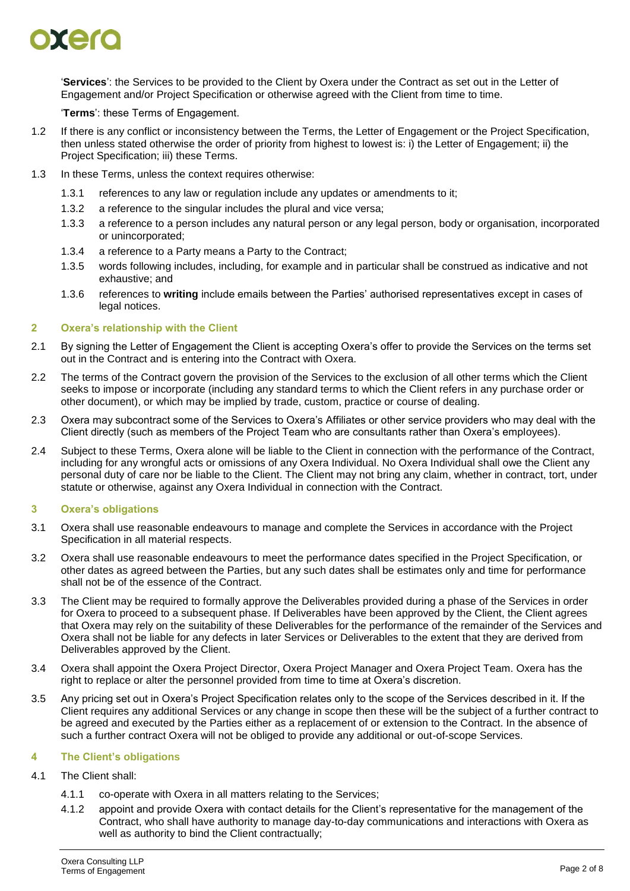

'**Services**': the Services to be provided to the Client by Oxera under the Contract as set out in the Letter of Engagement and/or Project Specification or otherwise agreed with the Client from time to time.

'**Terms**': these Terms of Engagement.

- 1.2 If there is any conflict or inconsistency between the Terms, the Letter of Engagement or the Project Specification, then unless stated otherwise the order of priority from highest to lowest is: i) the Letter of Engagement; ii) the Project Specification; iii) these Terms.
- 1.3 In these Terms, unless the context requires otherwise:
	- 1.3.1 references to any law or regulation include any updates or amendments to it;
	- 1.3.2 a reference to the singular includes the plural and vice versa;
	- 1.3.3 a reference to a person includes any natural person or any legal person, body or organisation, incorporated or unincorporated;
	- 1.3.4 a reference to a Party means a Party to the Contract;
	- 1.3.5 words following includes, including, for example and in particular shall be construed as indicative and not exhaustive; and
	- 1.3.6 references to **writing** include emails between the Parties' authorised representatives except in cases of legal notices.

#### <span id="page-1-0"></span>**2 Oxera's relationship with the Client**

- 2.1 By signing the Letter of Engagement the Client is accepting Oxera's offer to provide the Services on the terms set out in the Contract and is entering into the Contract with Oxera.
- 2.2 The terms of the Contract govern the provision of the Services to the exclusion of all other terms which the Client seeks to impose or incorporate (including any standard terms to which the Client refers in any purchase order or other document), or which may be implied by trade, custom, practice or course of dealing.
- 2.3 Oxera may subcontract some of the Services to Oxera's Affiliates or other service providers who may deal with the Client directly (such as members of the Project Team who are consultants rather than Oxera's employees).
- <span id="page-1-1"></span>2.4 Subject to these Terms, Oxera alone will be liable to the Client in connection with the performance of the Contract, including for any wrongful acts or omissions of any Oxera Individual. No Oxera Individual shall owe the Client any personal duty of care nor be liable to the Client. The Client may not bring any claim, whether in contract, tort, under statute or otherwise, against any Oxera Individual in connection with the Contract.

### **3 Oxera's obligations**

- 3.1 Oxera shall use reasonable endeavours to manage and complete the Services in accordance with the Project Specification in all material respects.
- 3.2 Oxera shall use reasonable endeavours to meet the performance dates specified in the Project Specification, or other dates as agreed between the Parties, but any such dates shall be estimates only and time for performance shall not be of the essence of the Contract.
- 3.3 The Client may be required to formally approve the Deliverables provided during a phase of the Services in order for Oxera to proceed to a subsequent phase. If Deliverables have been approved by the Client, the Client agrees that Oxera may rely on the suitability of these Deliverables for the performance of the remainder of the Services and Oxera shall not be liable for any defects in later Services or Deliverables to the extent that they are derived from Deliverables approved by the Client.
- 3.4 Oxera shall appoint the Oxera Project Director, Oxera Project Manager and Oxera Project Team. Oxera has the right to replace or alter the personnel provided from time to time at Oxera's discretion.
- <span id="page-1-2"></span>3.5 Any pricing set out in Oxera's Project Specification relates only to the scope of the Services described in it. If the Client requires any additional Services or any change in scope then these will be the subject of a further contract to be agreed and executed by the Parties either as a replacement of or extension to the Contract. In the absence of such a further contract Oxera will not be obliged to provide any additional or out-of-scope Services.

### **4 The Client's obligations**

- 4.1 The Client shall:
	- 4.1.1 co-operate with Oxera in all matters relating to the Services;
	- 4.1.2 appoint and provide Oxera with contact details for the Client's representative for the management of the Contract, who shall have authority to manage day-to-day communications and interactions with Oxera as well as authority to bind the Client contractually;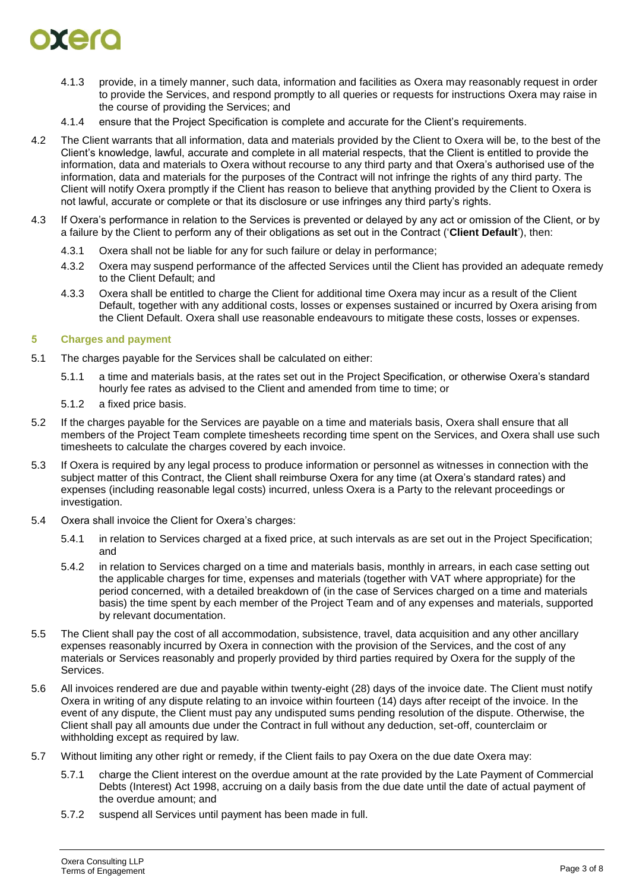

- 4.1.3 provide, in a timely manner, such data, information and facilities as Oxera may reasonably request in order to provide the Services, and respond promptly to all queries or requests for instructions Oxera may raise in the course of providing the Services; and
- 4.1.4 ensure that the Project Specification is complete and accurate for the Client's requirements.
- 4.2 The Client warrants that all information, data and materials provided by the Client to Oxera will be, to the best of the Client's knowledge, lawful, accurate and complete in all material respects, that the Client is entitled to provide the information, data and materials to Oxera without recourse to any third party and that Oxera's authorised use of the information, data and materials for the purposes of the Contract will not infringe the rights of any third party. The Client will notify Oxera promptly if the Client has reason to believe that anything provided by the Client to Oxera is not lawful, accurate or complete or that its disclosure or use infringes any third party's rights.
- 4.3 If Oxera's performance in relation to the Services is prevented or delayed by any act or omission of the Client, or by a failure by the Client to perform any of their obligations as set out in the Contract ('**Client Default**'), then:
	- 4.3.1 Oxera shall not be liable for any for such failure or delay in performance;
	- 4.3.2 Oxera may suspend performance of the affected Services until the Client has provided an adequate remedy to the Client Default; and
	- 4.3.3 Oxera shall be entitled to charge the Client for additional time Oxera may incur as a result of the Client Default, together with any additional costs, losses or expenses sustained or incurred by Oxera arising from the Client Default. Oxera shall use reasonable endeavours to mitigate these costs, losses or expenses.

#### **5 Charges and payment**

- 5.1 The charges payable for the Services shall be calculated on either:
	- 5.1.1 a time and materials basis, at the rates set out in the Project Specification, or otherwise Oxera's standard hourly fee rates as advised to the Client and amended from time to time; or
	- 5.1.2 a fixed price basis.
- 5.2 If the charges payable for the Services are payable on a time and materials basis, Oxera shall ensure that all members of the Project Team complete timesheets recording time spent on the Services, and Oxera shall use such timesheets to calculate the charges covered by each invoice.
- 5.3 If Oxera is required by any legal process to produce information or personnel as witnesses in connection with the subject matter of this Contract, the Client shall reimburse Oxera for any time (at Oxera's standard rates) and expenses (including reasonable legal costs) incurred, unless Oxera is a Party to the relevant proceedings or investigation.
- 5.4 Oxera shall invoice the Client for Oxera's charges:
	- 5.4.1 in relation to Services charged at a fixed price, at such intervals as are set out in the Project Specification; and
	- 5.4.2 in relation to Services charged on a time and materials basis, monthly in arrears, in each case setting out the applicable charges for time, expenses and materials (together with VAT where appropriate) for the period concerned, with a detailed breakdown of (in the case of Services charged on a time and materials basis) the time spent by each member of the Project Team and of any expenses and materials, supported by relevant documentation.
- 5.5 The Client shall pay the cost of all accommodation, subsistence, travel, data acquisition and any other ancillary expenses reasonably incurred by Oxera in connection with the provision of the Services, and the cost of any materials or Services reasonably and properly provided by third parties required by Oxera for the supply of the Services.
- 5.6 All invoices rendered are due and payable within twenty-eight (28) days of the invoice date. The Client must notify Oxera in writing of any dispute relating to an invoice within fourteen (14) days after receipt of the invoice. In the event of any dispute, the Client must pay any undisputed sums pending resolution of the dispute. Otherwise, the Client shall pay all amounts due under the Contract in full without any deduction, set-off, counterclaim or withholding except as required by law.
- 5.7 Without limiting any other right or remedy, if the Client fails to pay Oxera on the due date Oxera may:
	- 5.7.1 charge the Client interest on the overdue amount at the rate provided by the Late Payment of Commercial Debts (Interest) Act 1998, accruing on a daily basis from the due date until the date of actual payment of the overdue amount; and
	- 5.7.2 suspend all Services until payment has been made in full.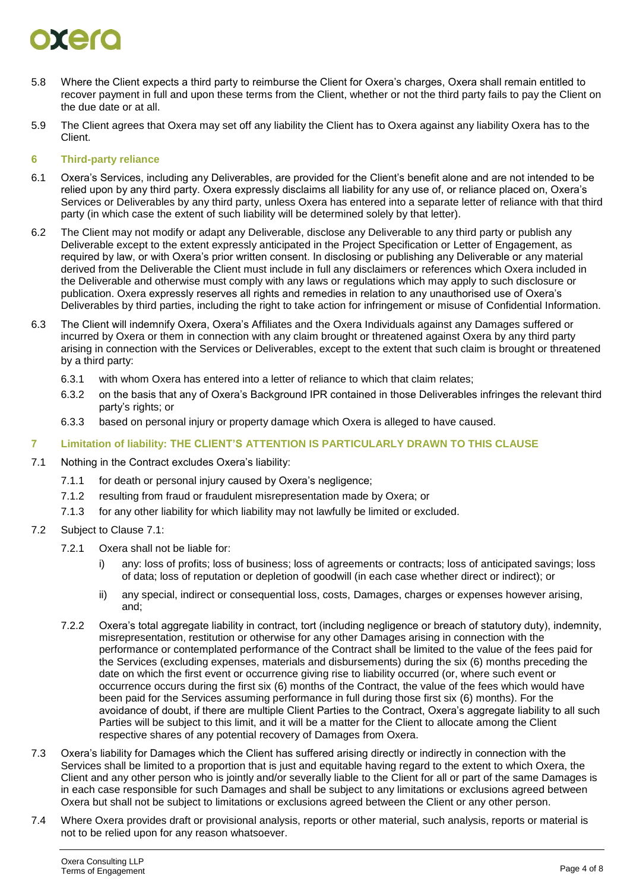# orero

- 5.8 Where the Client expects a third party to reimburse the Client for Oxera's charges, Oxera shall remain entitled to recover payment in full and upon these terms from the Client, whether or not the third party fails to pay the Client on the due date or at all.
- 5.9 The Client agrees that Oxera may set off any liability the Client has to Oxera against any liability Oxera has to the Client.

# <span id="page-3-2"></span>**6 Third-party reliance**

- 6.1 Oxera's Services, including any Deliverables, are provided for the Client's benefit alone and are not intended to be relied upon by any third party. Oxera expressly disclaims all liability for any use of, or reliance placed on, Oxera's Services or Deliverables by any third party, unless Oxera has entered into a separate letter of reliance with that third party (in which case the extent of such liability will be determined solely by that letter).
- 6.2 The Client may not modify or adapt any Deliverable, disclose any Deliverable to any third party or publish any Deliverable except to the extent expressly anticipated in the Project Specification or Letter of Engagement, as required by law, or with Oxera's prior written consent. In disclosing or publishing any Deliverable or any material derived from the Deliverable the Client must include in full any disclaimers or references which Oxera included in the Deliverable and otherwise must comply with any laws or regulations which may apply to such disclosure or publication. Oxera expressly reserves all rights and remedies in relation to any unauthorised use of Oxera's Deliverables by third parties, including the right to take action for infringement or misuse of Confidential Information.
- <span id="page-3-3"></span>6.3 The Client will indemnify Oxera, Oxera's Affiliates and the Oxera Individuals against any Damages suffered or incurred by Oxera or them in connection with any claim brought or threatened against Oxera by any third party arising in connection with the Services or Deliverables, except to the extent that such claim is brought or threatened by a third party:
	- 6.3.1 with whom Oxera has entered into a letter of reliance to which that claim relates;
	- 6.3.2 on the basis that any of Oxera's Background IPR contained in those Deliverables infringes the relevant third party's rights; or
	- 6.3.3 based on personal injury or property damage which Oxera is alleged to have caused.

# <span id="page-3-1"></span>**7 Limitation of liability: THE CLIENT'S ATTENTION IS PARTICULARLY DRAWN TO THIS CLAUSE**

- <span id="page-3-0"></span>7.1 Nothing in the Contract excludes Oxera's liability:
	- 7.1.1 for death or personal injury caused by Oxera's negligence;
	- 7.1.2 resulting from fraud or fraudulent misrepresentation made by Oxera; or
	- 7.1.3 for any other liability for which liability may not lawfully be limited or excluded.
- 7.2 Subject to Clause [7.1:](#page-3-0)
	- 7.2.1 Oxera shall not be liable for:
		- i) any: loss of profits; loss of business; loss of agreements or contracts; loss of anticipated savings; loss of data; loss of reputation or depletion of goodwill (in each case whether direct or indirect); or
		- ii) any special, indirect or consequential loss, costs, Damages, charges or expenses however arising, and;
	- 7.2.2 Oxera's total aggregate liability in contract, tort (including negligence or breach of statutory duty), indemnity, misrepresentation, restitution or otherwise for any other Damages arising in connection with the performance or contemplated performance of the Contract shall be limited to the value of the fees paid for the Services (excluding expenses, materials and disbursements) during the six (6) months preceding the date on which the first event or occurrence giving rise to liability occurred (or, where such event or occurrence occurs during the first six (6) months of the Contract, the value of the fees which would have been paid for the Services assuming performance in full during those first six (6) months). For the avoidance of doubt, if there are multiple Client Parties to the Contract, Oxera's aggregate liability to all such Parties will be subject to this limit, and it will be a matter for the Client to allocate among the Client respective shares of any potential recovery of Damages from Oxera.
- 7.3 Oxera's liability for Damages which the Client has suffered arising directly or indirectly in connection with the Services shall be limited to a proportion that is just and equitable having regard to the extent to which Oxera, the Client and any other person who is jointly and/or severally liable to the Client for all or part of the same Damages is in each case responsible for such Damages and shall be subject to any limitations or exclusions agreed between Oxera but shall not be subject to limitations or exclusions agreed between the Client or any other person.
- 7.4 Where Oxera provides draft or provisional analysis, reports or other material, such analysis, reports or material is not to be relied upon for any reason whatsoever.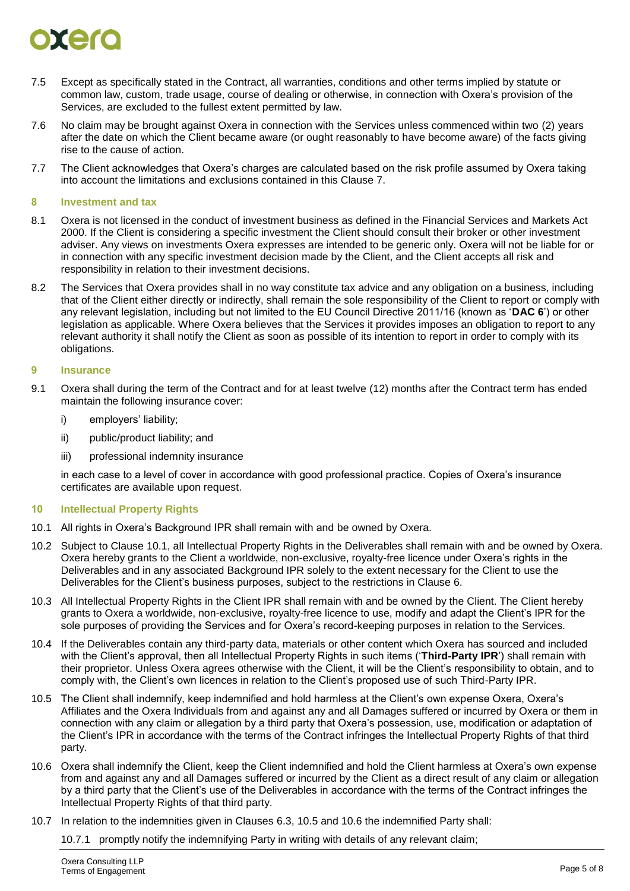# $\bullet$  is the set of  $\bullet$

- 7.5 Except as specifically stated in the Contract, all warranties, conditions and other terms implied by statute or common law, custom, trade usage, course of dealing or otherwise, in connection with Oxera's provision of the Services, are excluded to the fullest extent permitted by law.
- 7.6 No claim may be brought against Oxera in connection with the Services unless commenced within two (2) years after the date on which the Client became aware (or ought reasonably to have become aware) of the facts giving rise to the cause of action.
- 7.7 The Client acknowledges that Oxera's charges are calculated based on the risk profile assumed by Oxera taking into account the limitations and exclusions contained in this Clause [7.](#page-3-1)

#### **8 Investment and tax**

- 8.1 Oxera is not licensed in the conduct of investment business as defined in the Financial Services and Markets Act 2000. If the Client is considering a specific investment the Client should consult their broker or other investment adviser. Any views on investments Oxera expresses are intended to be generic only. Oxera will not be liable for or in connection with any specific investment decision made by the Client, and the Client accepts all risk and responsibility in relation to their investment decisions.
- 8.2 The Services that Oxera provides shall in no way constitute tax advice and any obligation on a business, including that of the Client either directly or indirectly, shall remain the sole responsibility of the Client to report or comply with any relevant legislation, including but not limited to the EU Council Directive 2011/16 (known as '**DAC 6**') or other legislation as applicable. Where Oxera believes that the Services it provides imposes an obligation to report to any relevant authority it shall notify the Client as soon as possible of its intention to report in order to comply with its obligations.

### **9 Insurance**

- 9.1 Oxera shall during the term of the Contract and for at least twelve (12) months after the Contract term has ended maintain the following insurance cover:
	- i) employers' liability;
	- ii) public/product liability; and
	- iii) professional indemnity insurance

in each case to a level of cover in accordance with good professional practice. Copies of Oxera's insurance certificates are available upon request.

### **10 Intellectual Property Rights**

- <span id="page-4-0"></span>10.1 All rights in Oxera's Background IPR shall remain with and be owned by Oxera.
- 10.2 Subject to Clause [10.1,](#page-4-0) all Intellectual Property Rights in the Deliverables shall remain with and be owned by Oxera. Oxera hereby grants to the Client a worldwide, non-exclusive, royalty-free licence under Oxera's rights in the Deliverables and in any associated Background IPR solely to the extent necessary for the Client to use the Deliverables for the Client's business purposes, subject to the restrictions in Clause [6.](#page-3-2)
- 10.3 All Intellectual Property Rights in the Client IPR shall remain with and be owned by the Client. The Client hereby grants to Oxera a worldwide, non-exclusive, royalty-free licence to use, modify and adapt the Client's IPR for the sole purposes of providing the Services and for Oxera's record-keeping purposes in relation to the Services.
- 10.4 If the Deliverables contain any third-party data, materials or other content which Oxera has sourced and included with the Client's approval, then all Intellectual Property Rights in such items ('**Third-Party IPR**') shall remain with their proprietor. Unless Oxera agrees otherwise with the Client, it will be the Client's responsibility to obtain, and to comply with, the Client's own licences in relation to the Client's proposed use of such Third-Party IPR.
- <span id="page-4-1"></span>10.5 The Client shall indemnify, keep indemnified and hold harmless at the Client's own expense Oxera, Oxera's Affiliates and the Oxera Individuals from and against any and all Damages suffered or incurred by Oxera or them in connection with any claim or allegation by a third party that Oxera's possession, use, modification or adaptation of the Client's IPR in accordance with the terms of the Contract infringes the Intellectual Property Rights of that third party.
- <span id="page-4-2"></span>10.6 Oxera shall indemnify the Client, keep the Client indemnified and hold the Client harmless at Oxera's own expense from and against any and all Damages suffered or incurred by the Client as a direct result of any claim or allegation by a third party that the Client's use of the Deliverables in accordance with the terms of the Contract infringes the Intellectual Property Rights of that third party.

10.7 In relation to the indemnities given in Clauses [6.3,](#page-3-3) [10.5](#page-4-1) and [10.6](#page-4-2) the indemnified Party shall:

10.7.1 promptly notify the indemnifying Party in writing with details of any relevant claim;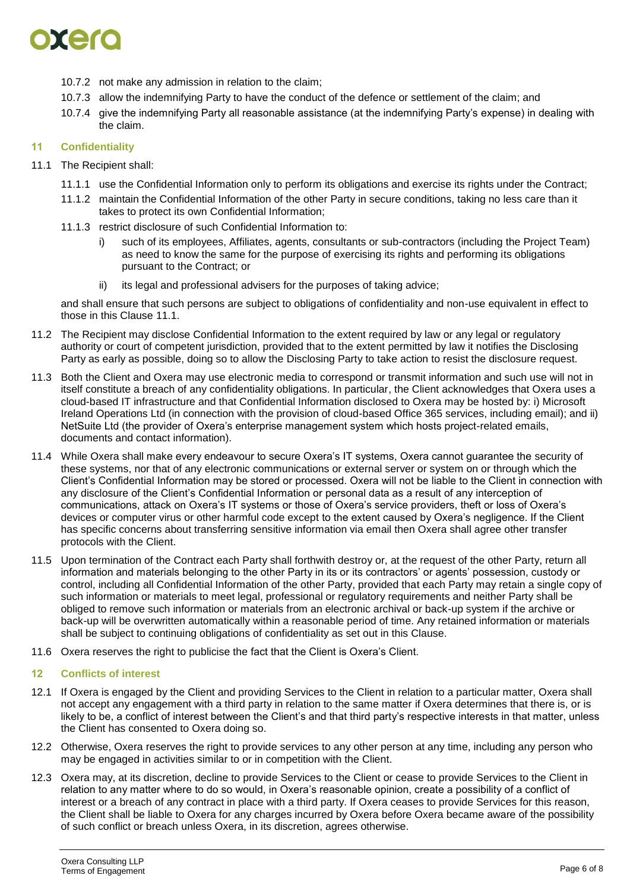

- 10.7.2 not make any admission in relation to the claim;
- 10.7.3 allow the indemnifying Party to have the conduct of the defence or settlement of the claim; and
- 10.7.4 give the indemnifying Party all reasonable assistance (at the indemnifying Party's expense) in dealing with the claim.

#### **11 Confidentiality**

- <span id="page-5-0"></span>11.1 The Recipient shall:
	- 11.1.1 use the Confidential Information only to perform its obligations and exercise its rights under the Contract;
	- 11.1.2 maintain the Confidential Information of the other Party in secure conditions, taking no less care than it takes to protect its own Confidential Information;
	- 11.1.3 restrict disclosure of such Confidential Information to:
		- i) such of its employees, Affiliates, agents, consultants or sub-contractors (including the Project Team) as need to know the same for the purpose of exercising its rights and performing its obligations pursuant to the Contract; or
		- ii) its legal and professional advisers for the purposes of taking advice;

and shall ensure that such persons are subject to obligations of confidentiality and non-use equivalent in effect to those in this Clause [11.1.](#page-5-0)

- 11.2 The Recipient may disclose Confidential Information to the extent required by law or any legal or regulatory authority or court of competent jurisdiction, provided that to the extent permitted by law it notifies the Disclosing Party as early as possible, doing so to allow the Disclosing Party to take action to resist the disclosure request.
- 11.3 Both the Client and Oxera may use electronic media to correspond or transmit information and such use will not in itself constitute a breach of any confidentiality obligations. In particular, the Client acknowledges that Oxera uses a cloud-based IT infrastructure and that Confidential Information disclosed to Oxera may be hosted by: i) Microsoft Ireland Operations Ltd (in connection with the provision of cloud-based Office 365 services, including email); and ii) NetSuite Ltd (the provider of Oxera's enterprise management system which hosts project-related emails, documents and contact information).
- 11.4 While Oxera shall make every endeavour to secure Oxera's IT systems, Oxera cannot guarantee the security of these systems, nor that of any electronic communications or external server or system on or through which the Client's Confidential Information may be stored or processed. Oxera will not be liable to the Client in connection with any disclosure of the Client's Confidential Information or personal data as a result of any interception of communications, attack on Oxera's IT systems or those of Oxera's service providers, theft or loss of Oxera's devices or computer virus or other harmful code except to the extent caused by Oxera's negligence. If the Client has specific concerns about transferring sensitive information via email then Oxera shall agree other transfer protocols with the Client.
- 11.5 Upon termination of the Contract each Party shall forthwith destroy or, at the request of the other Party, return all information and materials belonging to the other Party in its or its contractors' or agents' possession, custody or control, including all Confidential Information of the other Party, provided that each Party may retain a single copy of such information or materials to meet legal, professional or regulatory requirements and neither Party shall be obliged to remove such information or materials from an electronic archival or back-up system if the archive or back-up will be overwritten automatically within a reasonable period of time. Any retained information or materials shall be subject to continuing obligations of confidentiality as set out in this Clause.
- 11.6 Oxera reserves the right to publicise the fact that the Client is Oxera's Client.

### **12 Conflicts of interest**

- 12.1 If Oxera is engaged by the Client and providing Services to the Client in relation to a particular matter, Oxera shall not accept any engagement with a third party in relation to the same matter if Oxera determines that there is, or is likely to be, a conflict of interest between the Client's and that third party's respective interests in that matter, unless the Client has consented to Oxera doing so.
- 12.2 Otherwise, Oxera reserves the right to provide services to any other person at any time, including any person who may be engaged in activities similar to or in competition with the Client.
- 12.3 Oxera may, at its discretion, decline to provide Services to the Client or cease to provide Services to the Client in relation to any matter where to do so would, in Oxera's reasonable opinion, create a possibility of a conflict of interest or a breach of any contract in place with a third party. If Oxera ceases to provide Services for this reason, the Client shall be liable to Oxera for any charges incurred by Oxera before Oxera became aware of the possibility of such conflict or breach unless Oxera, in its discretion, agrees otherwise.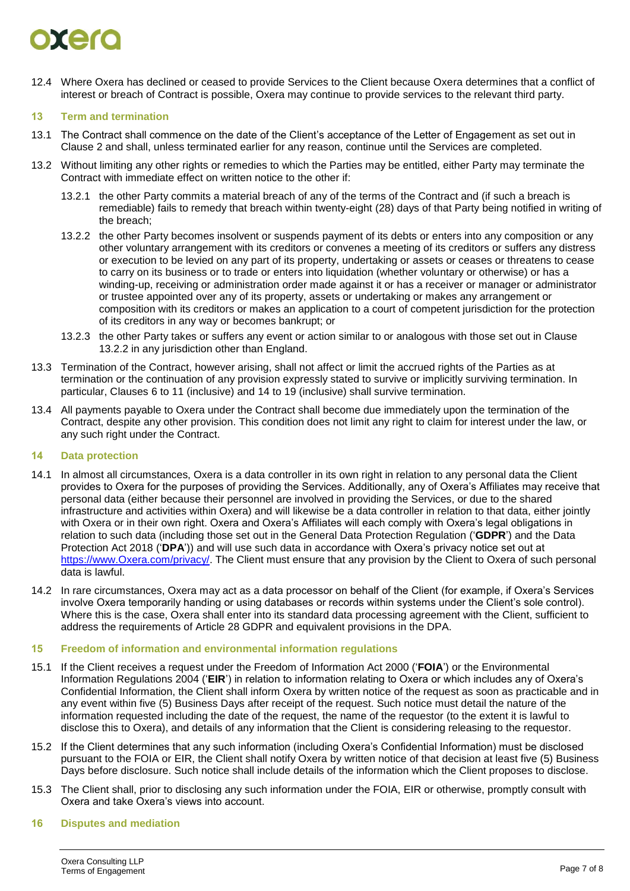# oxero

12.4 Where Oxera has declined or ceased to provide Services to the Client because Oxera determines that a conflict of interest or breach of Contract is possible, Oxera may continue to provide services to the relevant third party.

# **13 Term and termination**

- 13.1 The Contract shall commence on the date of the Client's acceptance of the Letter of Engagement as set out in Clause [2](#page-1-0) and shall, unless terminated earlier for any reason, continue until the Services are completed.
- <span id="page-6-0"></span>13.2 Without limiting any other rights or remedies to which the Parties may be entitled, either Party may terminate the Contract with immediate effect on written notice to the other if:
	- 13.2.1 the other Party commits a material breach of any of the terms of the Contract and (if such a breach is remediable) fails to remedy that breach within twenty-eight (28) days of that Party being notified in writing of the breach;
	- 13.2.2 the other Party becomes insolvent or suspends payment of its debts or enters into any composition or any other voluntary arrangement with its creditors or convenes a meeting of its creditors or suffers any distress or execution to be levied on any part of its property, undertaking or assets or ceases or threatens to cease to carry on its business or to trade or enters into liquidation (whether voluntary or otherwise) or has a winding-up, receiving or administration order made against it or has a receiver or manager or administrator or trustee appointed over any of its property, assets or undertaking or makes any arrangement or composition with its creditors or makes an application to a court of competent jurisdiction for the protection of its creditors in any way or becomes bankrupt; or
	- 13.2.3 the other Party takes or suffers any event or action similar to or analogous with those set out in Clause [13.2.2](#page-6-0) in any jurisdiction other than England.
- 13.3 Termination of the Contract, however arising, shall not affect or limit the accrued rights of the Parties as at termination or the continuation of any provision expressly stated to survive or implicitly surviving termination. In particular, Clauses 6 to 11 (inclusive) and 14 to 19 (inclusive) shall survive termination.
- 13.4 All payments payable to Oxera under the Contract shall become due immediately upon the termination of the Contract, despite any other provision. This condition does not limit any right to claim for interest under the law, or any such right under the Contract.

### **14 Data protection**

- 14.1 In almost all circumstances, Oxera is a data controller in its own right in relation to any personal data the Client provides to Oxera for the purposes of providing the Services. Additionally, any of Oxera's Affiliates may receive that personal data (either because their personnel are involved in providing the Services, or due to the shared infrastructure and activities within Oxera) and will likewise be a data controller in relation to that data, either jointly with Oxera or in their own right. Oxera and Oxera's Affiliates will each comply with Oxera's legal obligations in relation to such data (including those set out in the General Data Protection Regulation ('**GDPR**') and the Data Protection Act 2018 ('**DPA**')) and will use such data in accordance with Oxera's privacy notice set out at [https://www.Oxera.com/privacy/.](https://www.oxera.com/privacy/) The Client must ensure that any provision by the Client to Oxera of such personal data is lawful.
- 14.2 In rare circumstances, Oxera may act as a data processor on behalf of the Client (for example, if Oxera's Services involve Oxera temporarily handing or using databases or records within systems under the Client's sole control). Where this is the case, Oxera shall enter into its standard data processing agreement with the Client, sufficient to address the requirements of Article 28 GDPR and equivalent provisions in the DPA.

### **15 Freedom of information and environmental information regulations**

- 15.1 If the Client receives a request under the Freedom of Information Act 2000 ('**FOIA**') or the Environmental Information Regulations 2004 ('**EIR**') in relation to information relating to Oxera or which includes any of Oxera's Confidential Information, the Client shall inform Oxera by written notice of the request as soon as practicable and in any event within five (5) Business Days after receipt of the request. Such notice must detail the nature of the information requested including the date of the request, the name of the requestor (to the extent it is lawful to disclose this to Oxera), and details of any information that the Client is considering releasing to the requestor.
- 15.2 If the Client determines that any such information (including Oxera's Confidential Information) must be disclosed pursuant to the FOIA or EIR, the Client shall notify Oxera by written notice of that decision at least five (5) Business Days before disclosure. Such notice shall include details of the information which the Client proposes to disclose.
- 15.3 The Client shall, prior to disclosing any such information under the FOIA, EIR or otherwise, promptly consult with Oxera and take Oxera's views into account.

### **16 Disputes and mediation**